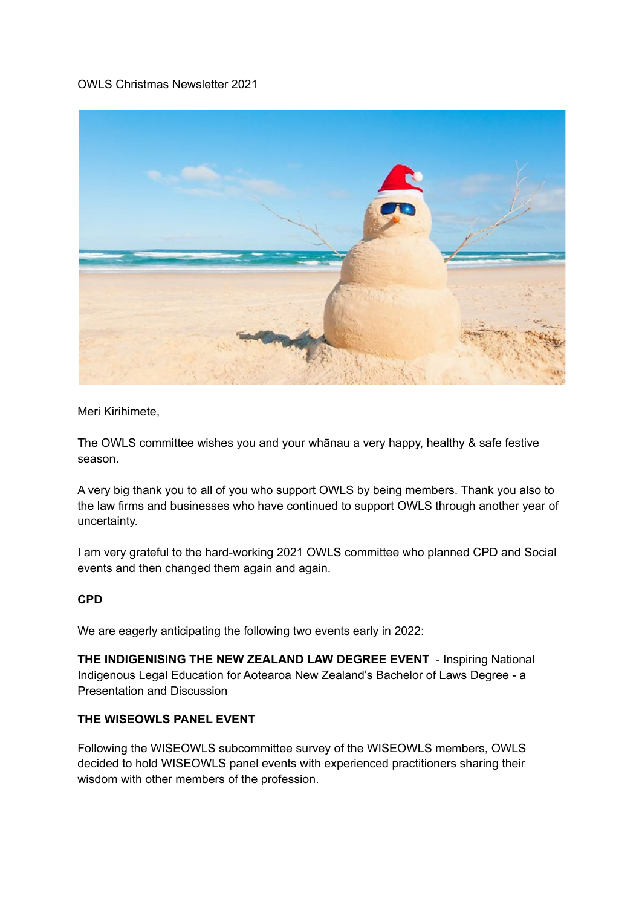### OWLS Christmas Newsletter 2021



Meri Kirihimete,

The OWLS committee wishes you and your whānau a very happy, healthy & safe festive season.

A very big thank you to all of you who support OWLS by being members. Thank you also to the law firms and businesses who have continued to support OWLS through another year of uncertainty.

I am very grateful to the hard-working 2021 OWLS committee who planned CPD and Social events and then changed them again and again.

# **CPD**

We are eagerly anticipating the following two events early in 2022:

**THE INDIGENISING THE NEW ZEALAND LAW DEGREE EVENT** - Inspiring National Indigenous Legal Education for Aotearoa New Zealand's Bachelor of Laws Degree - a Presentation and Discussion

# **THE WISEOWLS PANEL EVENT**

Following the WISEOWLS subcommittee survey of the WISEOWLS members, OWLS decided to hold WISEOWLS panel events with experienced practitioners sharing their wisdom with other members of the profession.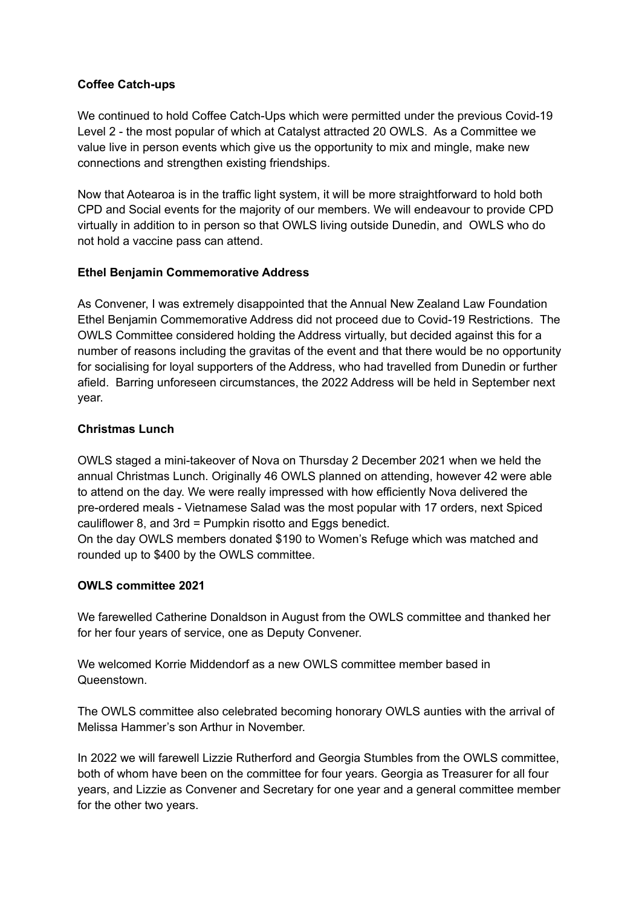### **Coffee Catch-ups**

We continued to hold Coffee Catch-Ups which were permitted under the previous Covid-19 Level 2 - the most popular of which at Catalyst attracted 20 OWLS. As a Committee we value live in person events which give us the opportunity to mix and mingle, make new connections and strengthen existing friendships.

Now that Aotearoa is in the traffic light system, it will be more straightforward to hold both CPD and Social events for the majority of our members. We will endeavour to provide CPD virtually in addition to in person so that OWLS living outside Dunedin, and OWLS who do not hold a vaccine pass can attend.

# **Ethel Benjamin Commemorative Address**

As Convener, I was extremely disappointed that the Annual New Zealand Law Foundation Ethel Benjamin Commemorative Address did not proceed due to Covid-19 Restrictions. The OWLS Committee considered holding the Address virtually, but decided against this for a number of reasons including the gravitas of the event and that there would be no opportunity for socialising for loyal supporters of the Address, who had travelled from Dunedin or further afield. Barring unforeseen circumstances, the 2022 Address will be held in September next year.

### **Christmas Lunch**

OWLS staged a mini-takeover of Nova on Thursday 2 December 2021 when we held the annual Christmas Lunch. Originally 46 OWLS planned on attending, however 42 were able to attend on the day. We were really impressed with how efficiently Nova delivered the pre-ordered meals - Vietnamese Salad was the most popular with 17 orders, next Spiced cauliflower 8, and 3rd = Pumpkin risotto and Eggs benedict.

On the day OWLS members donated \$190 to Women's Refuge which was matched and rounded up to \$400 by the OWLS committee.

#### **OWLS committee 2021**

We farewelled Catherine Donaldson in August from the OWLS committee and thanked her for her four years of service, one as Deputy Convener.

We welcomed Korrie Middendorf as a new OWLS committee member based in **Queenstown** 

The OWLS committee also celebrated becoming honorary OWLS aunties with the arrival of Melissa Hammer's son Arthur in November.

In 2022 we will farewell Lizzie Rutherford and Georgia Stumbles from the OWLS committee, both of whom have been on the committee for four years. Georgia as Treasurer for all four years, and Lizzie as Convener and Secretary for one year and a general committee member for the other two years.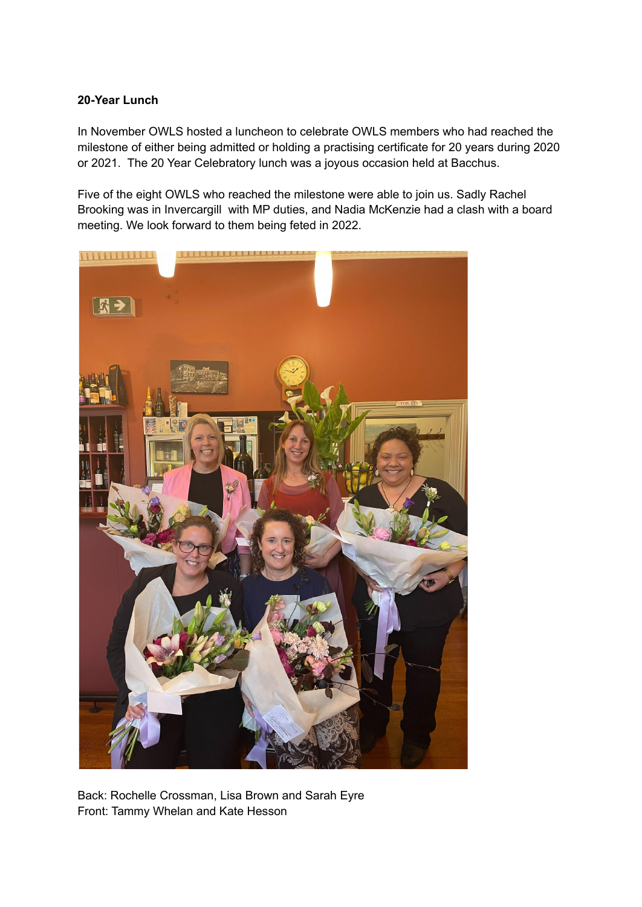### **20-Year Lunch**

In November OWLS hosted a luncheon to celebrate OWLS members who had reached the milestone of either being admitted or holding a practising certificate for 20 years during 2020 or 2021. The 20 Year Celebratory lunch was a joyous occasion held at Bacchus.

Five of the eight OWLS who reached the milestone were able to join us. Sadly Rachel Brooking was in Invercargill with MP duties, and Nadia McKenzie had a clash with a board meeting. We look forward to them being feted in 2022.



Back: Rochelle Crossman, Lisa Brown and Sarah Eyre Front: Tammy Whelan and Kate Hesson